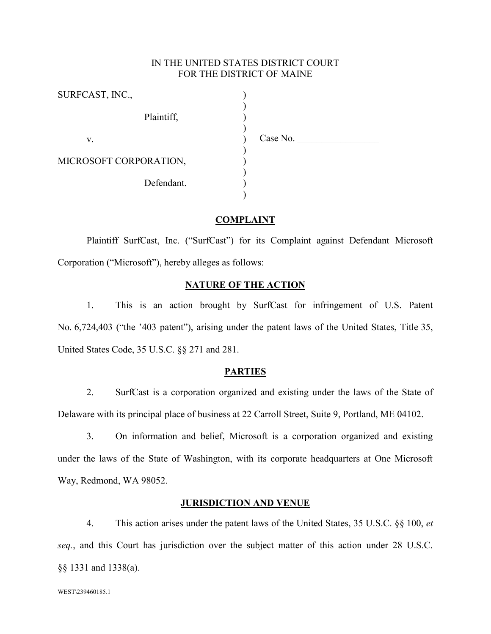# IN THE UNITED STATES DISTRICT COURT FOR THE DISTRICT OF MAINE

| SURFCAST, INC.,        |          |
|------------------------|----------|
| Plaintiff,             |          |
| V.                     | Case No. |
| MICROSOFT CORPORATION, |          |
| Defendant.             |          |

## **COMPLAINT**

Plaintiff SurfCast, Inc. ("SurfCast") for its Complaint against Defendant Microsoft Corporation ("Microsoft"), hereby alleges as follows:

## **NATURE OF THE ACTION**

1. This is an action brought by SurfCast for infringement of U.S. Patent No. 6,724,403 ("the '403 patent"), arising under the patent laws of the United States, Title 35, United States Code, 35 U.S.C. §§ 271 and 281.

## **PARTIES**

2. SurfCast is a corporation organized and existing under the laws of the State of Delaware with its principal place of business at 22 Carroll Street, Suite 9, Portland, ME 04102.

3. On information and belief, Microsoft is a corporation organized and existing under the laws of the State of Washington, with its corporate headquarters at One Microsoft Way, Redmond, WA 98052.

## **JURISDICTION AND VENUE**

4. This action arises under the patent laws of the United States, 35 U.S.C. §§ 100, *et seq.*, and this Court has jurisdiction over the subject matter of this action under 28 U.S.C. §§ 1331 and 1338(a).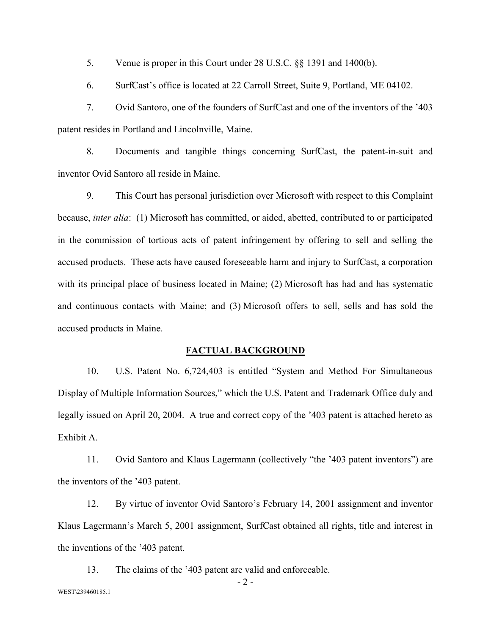5. Venue is proper in this Court under 28 U.S.C. §§ 1391 and 1400(b).

6. SurfCast's office is located at 22 Carroll Street, Suite 9, Portland, ME 04102.

7. Ovid Santoro, one of the founders of SurfCast and one of the inventors of the '403 patent resides in Portland and Lincolnville, Maine.

8. Documents and tangible things concerning SurfCast, the patent-in-suit and inventor Ovid Santoro all reside in Maine.

9. This Court has personal jurisdiction over Microsoft with respect to this Complaint because, *inter alia*: (1) Microsoft has committed, or aided, abetted, contributed to or participated in the commission of tortious acts of patent infringement by offering to sell and selling the accused products. These acts have caused foreseeable harm and injury to SurfCast, a corporation with its principal place of business located in Maine; (2) Microsoft has had and has systematic and continuous contacts with Maine; and (3) Microsoft offers to sell, sells and has sold the accused products in Maine.

#### **FACTUAL BACKGROUND**

10. U.S. Patent No. 6,724,403 is entitled "System and Method For Simultaneous Display of Multiple Information Sources," which the U.S. Patent and Trademark Office duly and legally issued on April 20, 2004. A true and correct copy of the '403 patent is attached hereto as Exhibit A.

11. Ovid Santoro and Klaus Lagermann (collectively "the '403 patent inventors") are the inventors of the '403 patent.

12. By virtue of inventor Ovid Santoro's February 14, 2001 assignment and inventor Klaus Lagermann's March 5, 2001 assignment, SurfCast obtained all rights, title and interest in the inventions of the '403 patent.

13. The claims of the '403 patent are valid and enforceable.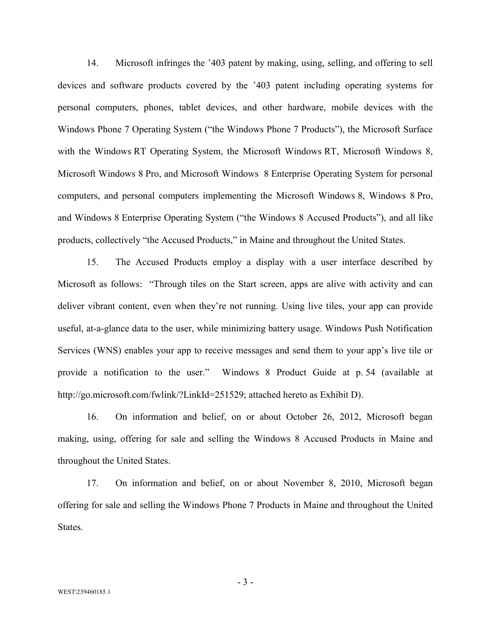14. Microsoft infringes the '403 patent by making, using, selling, and offering to sell devices and software products covered by the '403 patent including operating systems for personal computers, phones, tablet devices, and other hardware, mobile devices with the Windows Phone 7 Operating System ("the Windows Phone 7 Products"), the Microsoft Surface with the Windows RT Operating System, the Microsoft Windows RT, Microsoft Windows 8, Microsoft Windows 8 Pro, and Microsoft Windows 8 Enterprise Operating System for personal computers, and personal computers implementing the Microsoft Windows 8, Windows 8 Pro, and Windows 8 Enterprise Operating System ("the Windows 8 Accused Products"), and all like products, collectively "the Accused Products," in Maine and throughout the United States.

15. The Accused Products employ a display with a user interface described by Microsoft as follows: "Through tiles on the Start screen, apps are alive with activity and can deliver vibrant content, even when they're not running. Using live tiles, your app can provide useful, at-a-glance data to the user, while minimizing battery usage. Windows Push Notification Services (WNS) enables your app to receive messages and send them to your app's live tile or provide a notification to the user." Windows 8 Product Guide at p. 54 (available at http://go.microsoft.com/fwlink/?LinkId=251529; attached hereto as Exhibit D).

16. On information and belief, on or about October 26, 2012, Microsoft began making, using, offering for sale and selling the Windows 8 Accused Products in Maine and throughout the United States.

17. On information and belief, on or about November 8, 2010, Microsoft began offering for sale and selling the Windows Phone 7 Products in Maine and throughout the United States.

- 3 -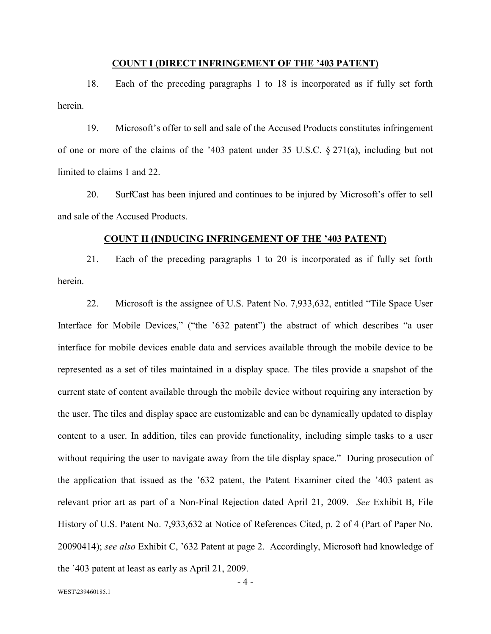#### **COUNT I (DIRECT INFRINGEMENT OF THE '403 PATENT)**

18. Each of the preceding paragraphs 1 to 18 is incorporated as if fully set forth herein.

19. Microsoft's offer to sell and sale of the Accused Products constitutes infringement of one or more of the claims of the '403 patent under 35 U.S.C. § 271(a), including but not limited to claims 1 and 22.

20. SurfCast has been injured and continues to be injured by Microsoft's offer to sell and sale of the Accused Products.

## **COUNT II (INDUCING INFRINGEMENT OF THE '403 PATENT)**

21. Each of the preceding paragraphs 1 to 20 is incorporated as if fully set forth herein.

22. Microsoft is the assignee of U.S. Patent No. 7,933,632, entitled "Tile Space User Interface for Mobile Devices," ("the '632 patent") the abstract of which describes "a user interface for mobile devices enable data and services available through the mobile device to be represented as a set of tiles maintained in a display space. The tiles provide a snapshot of the current state of content available through the mobile device without requiring any interaction by the user. The tiles and display space are customizable and can be dynamically updated to display content to a user. In addition, tiles can provide functionality, including simple tasks to a user without requiring the user to navigate away from the tile display space." During prosecution of the application that issued as the '632 patent, the Patent Examiner cited the '403 patent as relevant prior art as part of a Non-Final Rejection dated April 21, 2009. *See* Exhibit B, File History of U.S. Patent No. 7,933,632 at Notice of References Cited, p. 2 of 4 (Part of Paper No. 20090414); *see also* Exhibit C, '632 Patent at page 2. Accordingly, Microsoft had knowledge of the '403 patent at least as early as April 21, 2009.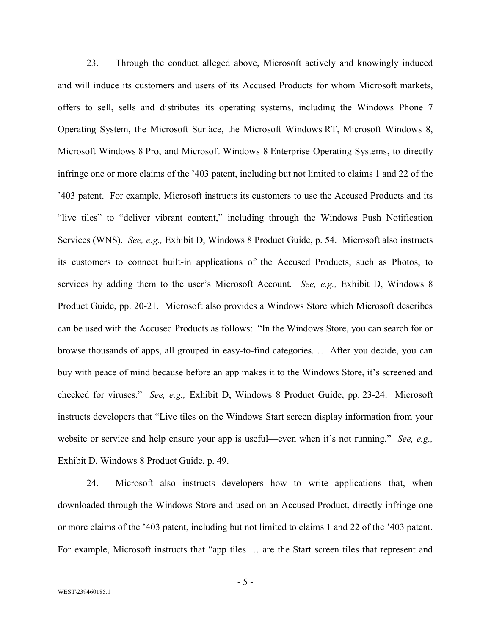23. Through the conduct alleged above, Microsoft actively and knowingly induced and will induce its customers and users of its Accused Products for whom Microsoft markets, offers to sell, sells and distributes its operating systems, including the Windows Phone 7 Operating System, the Microsoft Surface, the Microsoft Windows RT, Microsoft Windows 8, Microsoft Windows 8 Pro, and Microsoft Windows 8 Enterprise Operating Systems, to directly infringe one or more claims of the '403 patent, including but not limited to claims 1 and 22 of the '403 patent. For example, Microsoft instructs its customers to use the Accused Products and its "live tiles" to "deliver vibrant content," including through the Windows Push Notification Services (WNS). *See, e.g.,* Exhibit D, Windows 8 Product Guide, p. 54. Microsoft also instructs its customers to connect built-in applications of the Accused Products, such as Photos, to services by adding them to the user's Microsoft Account. *See, e.g.,* Exhibit D, Windows 8 Product Guide, pp. 20-21. Microsoft also provides a Windows Store which Microsoft describes can be used with the Accused Products as follows: "In the Windows Store, you can search for or browse thousands of apps, all grouped in easy-to-find categories. … After you decide, you can buy with peace of mind because before an app makes it to the Windows Store, it's screened and checked for viruses." *See, e.g.,* Exhibit D, Windows 8 Product Guide, pp. 23-24. Microsoft instructs developers that "Live tiles on the Windows Start screen display information from your website or service and help ensure your app is useful—even when it's not running." *See, e.g.,*  Exhibit D, Windows 8 Product Guide, p. 49.

24. Microsoft also instructs developers how to write applications that, when downloaded through the Windows Store and used on an Accused Product, directly infringe one or more claims of the '403 patent, including but not limited to claims 1 and 22 of the '403 patent. For example, Microsoft instructs that "app tiles … are the Start screen tiles that represent and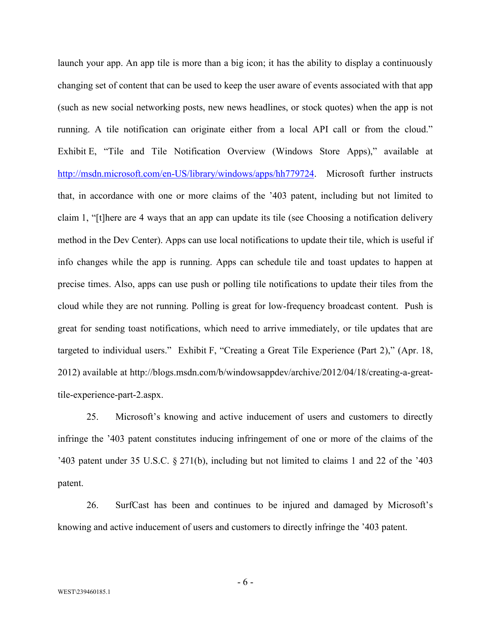launch your app. An app tile is more than a big icon; it has the ability to display a continuously changing set of content that can be used to keep the user aware of events associated with that app (such as new social networking posts, new news headlines, or stock quotes) when the app is not running. A tile notification can originate either from a local API call or from the cloud." Exhibit E, "Tile and Tile Notification Overview (Windows Store Apps)," available at [http://msdn.microsoft.com/en-US/library/windows/apps/hh779724.](http://msdn.microsoft.com/en-US/library/windows/apps/hh779724) Microsoft further instructs that, in accordance with one or more claims of the '403 patent, including but not limited to claim 1, "[t]here are 4 ways that an app can update its tile (see Choosing a notification delivery method in the Dev Center). Apps can use local notifications to update their tile, which is useful if info changes while the app is running. Apps can schedule tile and toast updates to happen at precise times. Also, apps can use push or polling tile notifications to update their tiles from the cloud while they are not running. Polling is great for low-frequency broadcast content. Push is great for sending toast notifications, which need to arrive immediately, or tile updates that are targeted to individual users." Exhibit F, "Creating a Great Tile Experience (Part 2)," (Apr. 18, 2012) available at http://blogs.msdn.com/b/windowsappdev/archive/2012/04/18/creating-a-greattile-experience-part-2.aspx.

25. Microsoft's knowing and active inducement of users and customers to directly infringe the '403 patent constitutes inducing infringement of one or more of the claims of the '403 patent under 35 U.S.C. § 271(b), including but not limited to claims 1 and 22 of the '403 patent.

26. SurfCast has been and continues to be injured and damaged by Microsoft's knowing and active inducement of users and customers to directly infringe the '403 patent.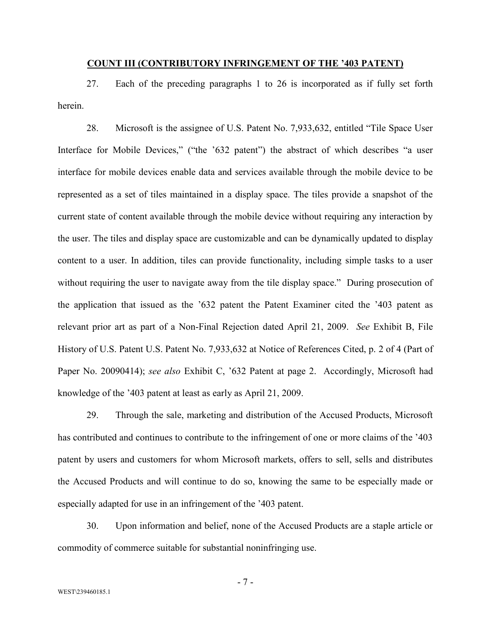#### **COUNT III (CONTRIBUTORY INFRINGEMENT OF THE '403 PATENT)**

27. Each of the preceding paragraphs 1 to 26 is incorporated as if fully set forth herein.

28. Microsoft is the assignee of U.S. Patent No. 7,933,632, entitled "Tile Space User Interface for Mobile Devices," ("the '632 patent") the abstract of which describes "a user interface for mobile devices enable data and services available through the mobile device to be represented as a set of tiles maintained in a display space. The tiles provide a snapshot of the current state of content available through the mobile device without requiring any interaction by the user. The tiles and display space are customizable and can be dynamically updated to display content to a user. In addition, tiles can provide functionality, including simple tasks to a user without requiring the user to navigate away from the tile display space." During prosecution of the application that issued as the '632 patent the Patent Examiner cited the '403 patent as relevant prior art as part of a Non-Final Rejection dated April 21, 2009. *See* Exhibit B, File History of U.S. Patent U.S. Patent No. 7,933,632 at Notice of References Cited, p. 2 of 4 (Part of Paper No. 20090414); *see also* Exhibit C, '632 Patent at page 2. Accordingly, Microsoft had knowledge of the '403 patent at least as early as April 21, 2009.

29. Through the sale, marketing and distribution of the Accused Products, Microsoft has contributed and continues to contribute to the infringement of one or more claims of the '403 patent by users and customers for whom Microsoft markets, offers to sell, sells and distributes the Accused Products and will continue to do so, knowing the same to be especially made or especially adapted for use in an infringement of the '403 patent.

30. Upon information and belief, none of the Accused Products are a staple article or commodity of commerce suitable for substantial noninfringing use.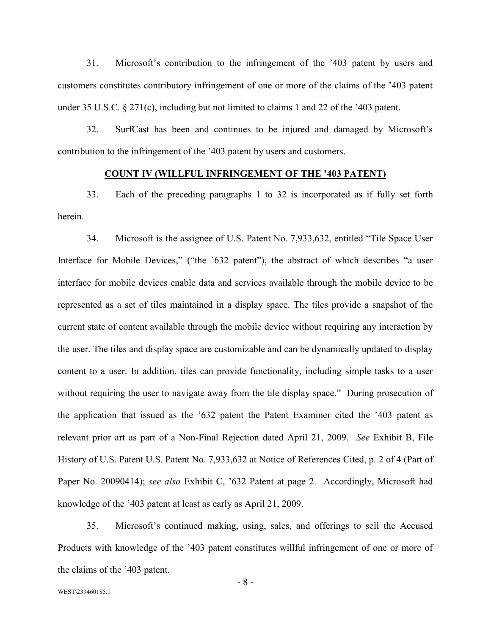31. Microsoft's contribution to the infringement of the '403 patent by users and customers constitutes contributory infringement of one or more of the claims of the '403 patent under 35 U.S.C. § 271(c), including but not limited to claims 1 and 22 of the '403 patent.

32. SurfCast has been and continues to be injured and damaged by Microsoft's contribution to the infringement of the '403 patent by users and customers.

## **COUNT IV (WILLFUL INFRINGEMENT OF THE '403 PATENT)**

33. Each of the preceding paragraphs 1 to 32 is incorporated as if fully set forth herein.

34. Microsoft is the assignee of U.S. Patent No. 7,933,632, entitled "Tile Space User Interface for Mobile Devices," ("the '632 patent"), the abstract of which describes "a user interface for mobile devices enable data and services available through the mobile device to be represented as a set of tiles maintained in a display space. The tiles provide a snapshot of the current state of content available through the mobile device without requiring any interaction by the user. The tiles and display space are customizable and can be dynamically updated to display content to a user. In addition, tiles can provide functionality, including simple tasks to a user without requiring the user to navigate away from the tile display space." During prosecution of the application that issued as the '632 patent the Patent Examiner cited the '403 patent as relevant prior art as part of a Non-Final Rejection dated April 21, 2009. *See* Exhibit B, File History of U.S. Patent U.S. Patent No. 7,933,632 at Notice of References Cited, p. 2 of 4 (Part of Paper No. 20090414); *see also* Exhibit C, '632 Patent at page 2. Accordingly, Microsoft had knowledge of the '403 patent at least as early as April 21, 2009.

35. Microsoft's continued making, using, sales, and offerings to sell the Accused Products with knowledge of the '403 patent constitutes willful infringement of one or more of the claims of the '403 patent.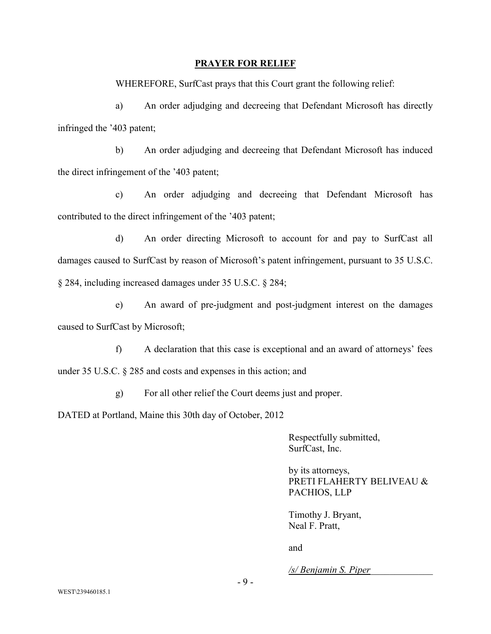## **PRAYER FOR RELIEF**

WHEREFORE, SurfCast prays that this Court grant the following relief:

a) An order adjudging and decreeing that Defendant Microsoft has directly infringed the '403 patent;

b) An order adjudging and decreeing that Defendant Microsoft has induced the direct infringement of the '403 patent;

c) An order adjudging and decreeing that Defendant Microsoft has contributed to the direct infringement of the '403 patent;

d) An order directing Microsoft to account for and pay to SurfCast all damages caused to SurfCast by reason of Microsoft's patent infringement, pursuant to 35 U.S.C. § 284, including increased damages under 35 U.S.C. § 284;

e) An award of pre-judgment and post-judgment interest on the damages caused to SurfCast by Microsoft;

f) A declaration that this case is exceptional and an award of attorneys' fees under 35 U.S.C. § 285 and costs and expenses in this action; and

g) For all other relief the Court deems just and proper.

DATED at Portland, Maine this 30th day of October, 2012

Respectfully submitted, SurfCast, Inc.

by its attorneys, PRETI FLAHERTY BELIVEAU & PACHIOS, LLP

Timothy J. Bryant, Neal F. Pratt,

and

*/s/ Benjamin S. Piper\_\_\_\_\_\_\_\_\_\_\_\_\_*